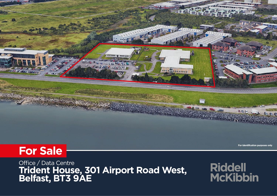

**For identification purposes only** 

Office / Data Centre **Trident House, 301 Airport Road West, Belfast, BT3 9AE**

**Riddell McKibbin**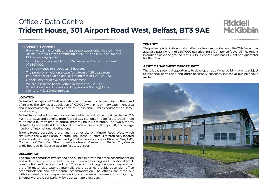## Office / Data Centre **Trident House, 301 Airport Road West, Belfast, BT3 9AE**

## **Riddell McKibbin**

### **PROPERTY SUMMARY**

- Prominent single let office / data centre opportunity located in the Belfast Harbour Estate comprising of 36,956 sq f (3,433 sq. m) and 180 car parking spaces.
- Let to Fujitsu Services Ltd until December 2021 at a current rent of £397,000.
- The site extends to 6 acres (2.43 hectares).
- The property is held long lease for a term of 125 years from 1st December 1992 at an annual ground rent of £240,248.70.
- Opportunity for active asset management.
- We are instructed to seek offers in excess of £1,250,000 (One Million Two Hundred and Fifty Pounds Sterling) for our clients long leasehold interest.

## **LOCATION**

Belfast is the capital of Northern Ireland and the second largest city on the island of Ireland. The city has a population of 739,000 within its primary catchment area and is approximately 103 miles north of Dublin and 75 miles southeast of Derry/ Londonderry.

Belfast has excellent communication links with the rest of the province via the M1 & M2 motorways and benefits from four railway stations. The Belfast to Dublin train route has a journey time of approximately 1 hour 50 minutes. The two airports, Belfast City and Belfast International, provide access to all major UK, and a large number of international destinations.

Trident House occupies a prominent corner site on Airport Road West which sits within the wider Harbour Estate. The Harbour Estate is strategically located and consists of many national and global occupiers such as Phoenix Gas, G4S, Concentrix & Calor Gas. The property is situated 4 miles from Belfast City Centre andis boarded by George Best Belfast City Airport.

## **DESCRIPTION**

The subject comprises two standalone buildings providing office accommodation and a data centre on a site of 6 acres. The main building is of traditional block construction and has a pitched roof. The second building is single storey and has a profile metal clad exterior. Internally the properties provide open plan office accommodation and data centre accommodation. The offices are fitted out with carpeted floors, suspended ceiling and recessed fluorescent box lighting. Externally there is car parking for approximately 180 cars.

### **TENANCY**

The property is let in its entirety to Fujitsu Services Limited until the 12th December 2021 at a passing rent of £397,000 pa reflecting £10.74 per sq ft overall. The tenant in addition pays the ground rent. Fujitsu Services Holdings PLC act as a guarantor for the tenant.

## **ASSET MANAGEMENT OPPORTUNITY**

There is the potential opportunity to develop an additional building on site subject to planning permission and other necessary consents. Indicative outline shown aside.

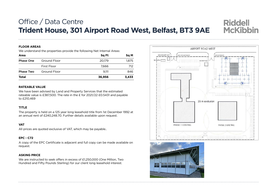## Office / Data Centre Trident House, 301 Airport Road West, Belfast, BT3 9AE

#### **FLOOR AREAS**  $T_{\rm eff}$  accounts over the last three years may be summarised as follows:

We understand the properties provide the following Net Internal Areas:

| Area             |              | Sq Ft  | Sq M  |
|------------------|--------------|--------|-------|
| <b>Phase One</b> | Ground Floor | 20,179 | 1.875 |
|                  | First Floor  | 7.666  | 712   |
| <b>Phase Two</b> | Ground Floor | 9.111  | 846   |
| <b>Total</b>     |              | 36,956 | 3,433 |

## **RATEABLE VALUE**

We have been advised by Land and Property Services that the estimated rateable value is £387,500. The rate in the £ for 2021/22 £0.5431 and payable to £210,469

#### **TITLE** Full Experian Report available upon request.

The property is held on a 125 year long leasehold title from 1st December 1992 at an annual rent of £240,248.70. Further details available upon request.

#### **VAT**  $T$  value opportunity to develop an additional building on site extending on site extending to c.67,404 sq.

All prices are quoted exclusive of VAT, which may be payable.. FOR SALE – OFFICE / DATA CENTRE All prices are quoted exclusive or vali, which may be payable..  $\begin{bmatrix} 1 \\ 2 \end{bmatrix}$ 

Risk.'

## **EPC - C72**

A copy of the EPC Certificate is adjacent and full copy can be made available on request. The property is let in its entirety to Fujitsu Services Limited until the 12th December 2021 at a

## **ASKING PRICE**

We are instructed to seek offers in excess of £1,250,000 (One Million, Two Hundred and Fifty Pounds Sterling) for our client long leasehold interest.





**Riddell McKibbin**